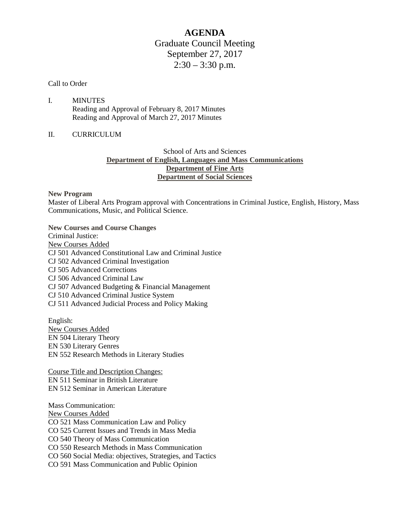# **AGENDA** Graduate Council Meeting September 27, 2017  $2:30 - 3:30$  p.m.

#### Call to Order

I. MINUTES Reading and Approval of February 8, 2017 Minutes Reading and Approval of March 27, 2017 Minutes

## II. CURRICULUM

# School of Arts and Sciences **Department of English, Languages and Mass Communications Department of Fine Arts Department of Social Sciences**

#### **New Program**

Master of Liberal Arts Program approval with Concentrations in Criminal Justice, English, History, Mass Communications, Music, and Political Science.

**New Courses and Course Changes** Criminal Justice: New Courses Added CJ 501 Advanced Constitutional Law and Criminal Justice CJ 502 Advanced Criminal Investigation CJ 505 Advanced Corrections CJ 506 Advanced Criminal Law CJ 507 Advanced Budgeting & Financial Management CJ 510 Advanced Criminal Justice System CJ 511 Advanced Judicial Process and Policy Making

English: New Courses Added EN 504 Literary Theory EN 530 Literary Genres EN 552 Research Methods in Literary Studies

Course Title and Description Changes: EN 511 Seminar in British Literature EN 512 Seminar in American Literature

Mass Communication: New Courses Added CO 521 Mass Communication Law and Policy CO 525 Current Issues and Trends in Mass Media CO 540 Theory of Mass Communication CO 550 Research Methods in Mass Communication CO 560 Social Media: objectives, Strategies, and Tactics CO 591 Mass Communication and Public Opinion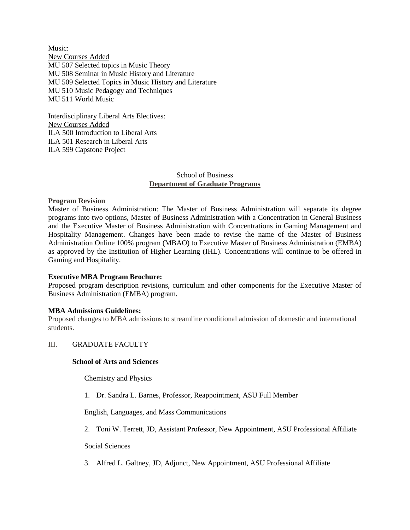Music: New Courses Added MU 507 Selected topics in Music Theory MU 508 Seminar in Music History and Literature MU 509 Selected Topics in Music History and Literature MU 510 Music Pedagogy and Techniques MU 511 World Music

Interdisciplinary Liberal Arts Electives: New Courses Added ILA 500 Introduction to Liberal Arts ILA 501 Research in Liberal Arts ILA 599 Capstone Project

## School of Business **Department of Graduate Programs**

## **Program Revision**

Master of Business Administration: The Master of Business Administration will separate its degree programs into two options, Master of Business Administration with a Concentration in General Business and the Executive Master of Business Administration with Concentrations in Gaming Management and Hospitality Management. Changes have been made to revise the name of the Master of Business Administration Online 100% program (MBAO) to Executive Master of Business Administration (EMBA) as approved by the Institution of Higher Learning (IHL). Concentrations will continue to be offered in Gaming and Hospitality.

#### **Executive MBA Program Brochure:**

Proposed program description revisions, curriculum and other components for the Executive Master of Business Administration (EMBA) program.

#### **MBA Admissions Guidelines:**

Proposed changes to MBA admissions to streamline conditional admission of domestic and international students.

#### III. GRADUATE FACULTY

#### **School of Arts and Sciences**

Chemistry and Physics

1. Dr. Sandra L. Barnes, Professor, Reappointment, ASU Full Member

English, Languages, and Mass Communications

2. Toni W. Terrett, JD, Assistant Professor, New Appointment, ASU Professional Affiliate

Social Sciences

3. Alfred L. Galtney, JD, Adjunct, New Appointment, ASU Professional Affiliate